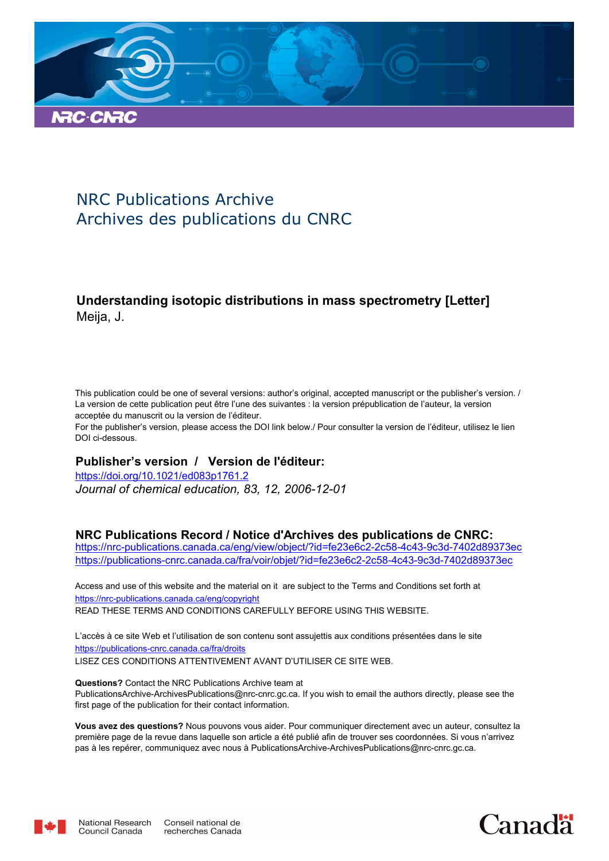

# NRC Publications Archive Archives des publications du CNRC

## **Understanding isotopic distributions in mass spectrometry [Letter]** Meija, J.

This publication could be one of several versions: author's original, accepted manuscript or the publisher's version. / La version de cette publication peut être l'une des suivantes : la version prépublication de l'auteur, la version acceptée du manuscrit ou la version de l'éditeur.

For the publisher's version, please access the DOI link below./ Pour consulter la version de l'éditeur, utilisez le lien DOI ci-dessous.

## **Publisher's version / Version de l'éditeur:**

*Journal of chemical education, 83, 12, 2006-12-01* https://doi.org/10.1021/ed083p1761.2

## **NRC Publications Record / Notice d'Archives des publications de CNRC:**

https://nrc-publications.canada.ca/eng/view/object/?id=fe23e6c2-2c58-4c43-9c3d-7402d89373ec https://publications-cnrc.canada.ca/fra/voir/objet/?id=fe23e6c2-2c58-4c43-9c3d-7402d89373ec

READ THESE TERMS AND CONDITIONS CAREFULLY BEFORE USING THIS WEBSITE. https://nrc-publications.canada.ca/eng/copyright Access and use of this website and the material on it are subject to the Terms and Conditions set forth at

https://publications-cnrc.canada.ca/fra/droits L'accès à ce site Web et l'utilisation de son contenu sont assujettis aux conditions présentées dans le site LISEZ CES CONDITIONS ATTENTIVEMENT AVANT D'UTILISER CE SITE WEB.

**Questions?** Contact the NRC Publications Archive team at PublicationsArchive-ArchivesPublications@nrc-cnrc.gc.ca. If you wish to email the authors directly, please see the first page of the publication for their contact information.

**Vous avez des questions?** Nous pouvons vous aider. Pour communiquer directement avec un auteur, consultez la première page de la revue dans laquelle son article a été publié afin de trouver ses coordonnées. Si vous n'arrivez pas à les repérer, communiquez avec nous à PublicationsArchive-ArchivesPublications@nrc-cnrc.gc.ca.